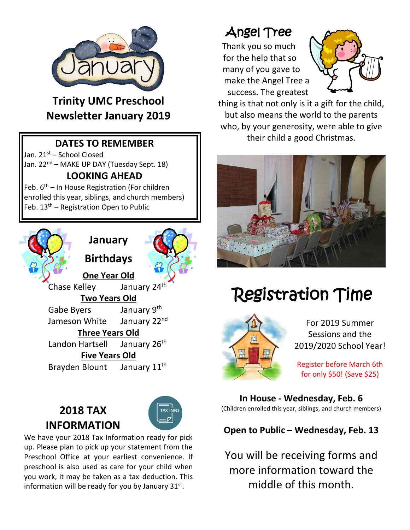

**Trinity UMC Preschool Newsletter January 2019**

## **DATES TO REMEMBER**

Jan. 21<sup>st</sup> – School Closed Jan. 22<sup>nd</sup> – MAKE UP DAY (Tuesday Sept. 18)

#### **LOOKING AHEAD**

Feb. 6<sup>th</sup> – In House Registration (For children enrolled this year, siblings, and church members) Feb. 13<sup>th</sup> – Registration Open to Public



**January**

**Birthdays**



**One Year Old** Chase Kelley January  $24<sup>t</sup>$ **Two Years Old** Gabe Byers January 9<sup>th</sup> Jameson White January 22<sup>nd</sup> **Three Years Old** Landon Hartsell January 26<sup>th</sup> **Five Years Old** Brayden Blount January 11<sup>th</sup>

## **2018 TAX INFORMATION**



We have your 2018 Tax Information ready for pick up. Please plan to pick up your statement from the Preschool Office at your earliest convenience. If preschool is also used as care for your child when you work, it may be taken as a tax deduction. This information will be ready for you by January  $31^{st}$ .

## Angel Tree

Thank you so much for the help that so many of you gave to make the Angel Tree a success. The greatest



thing is that not only is it a gift for the child, but also means the world to the parents who, by your generosity, were able to give their child a good Christmas.



## Registration Time



For 2019 Summer Sessions and the 2019/2020 School Year!

Register before March 6th for only \$50! (Save \$25)

**In House - Wednesday, Feb. 6** (Children enrolled this year, siblings, and church members)

## **Open to Public – Wednesday, Feb. 13**

You will be receiving forms and more information toward the middle of this month.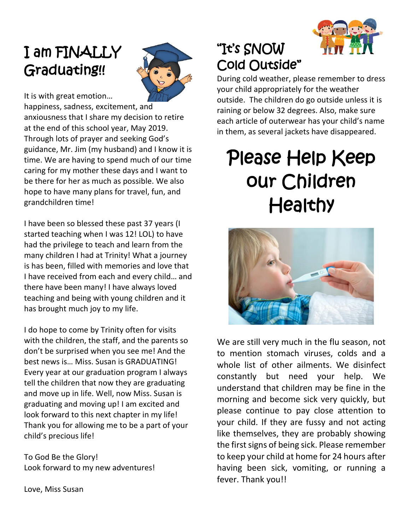## I am FINALLY Graduating!!



It is with great emotion…

happiness, sadness, excitement, and anxiousness that I share my decision to retire at the end of this school year, May 2019. Through lots of prayer and seeking God's guidance, Mr. Jim (my husband) and I know it is time. We are having to spend much of our time caring for my mother these days and I want to be there for her as much as possible. We also hope to have many plans for travel, fun, and grandchildren time!

I have been so blessed these past 37 years (I started teaching when I was 12! LOL) to have had the privilege to teach and learn from the many children I had at Trinity! What a journey is has been, filled with memories and love that I have received from each and every child… and there have been many! I have always loved teaching and being with young children and it has brought much joy to my life.

I do hope to come by Trinity often for visits with the children, the staff, and the parents so don't be surprised when you see me! And the best news is… Miss. Susan is GRADUATING! Every year at our graduation program I always tell the children that now they are graduating and move up in life. Well, now Miss. Susan is graduating and moving up! I am excited and look forward to this next chapter in my life! Thank you for allowing me to be a part of your child's precious life!

To God Be the Glory! Look forward to my new adventures! "It's SNOW Cold Outside"

During cold weather, please remember to dress your child appropriately for the weather outside. The children do go outside unless it is raining or below 32 degrees. Also, make sure each article of outerwear has your child's name in them, as several jackets have disappeared.

# Please Help Keep our Children **Healthy**



We are still very much in the flu season, not to mention stomach viruses, colds and a whole list of other ailments. We disinfect constantly but need your help. We understand that children may be fine in the morning and become sick very quickly, but please continue to pay close attention to your child. If they are fussy and not acting like themselves, they are probably showing the first signs of being sick. Please remember to keep your child at home for 24 hours after having been sick, vomiting, or running a fever. Thank you!!

Love, Miss Susan